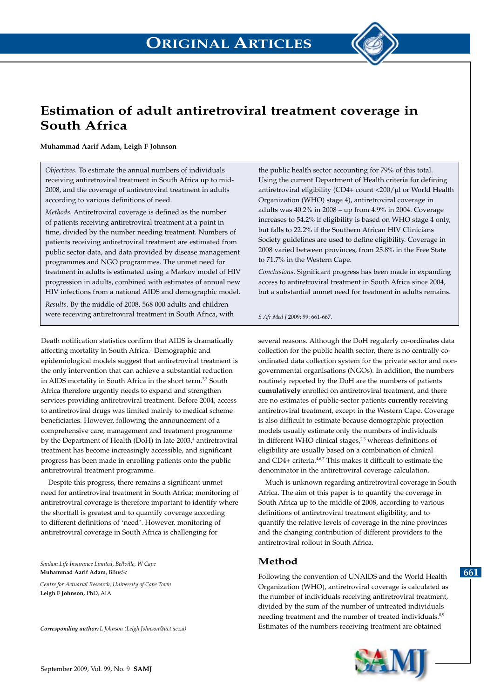

#### **Muhammad Aarif Adam, Leigh F Johnson**

*Objectives*. To estimate the annual numbers of individuals receiving antiretroviral treatment in South Africa up to mid-2008, and the coverage of antiretroviral treatment in adults according to various definitions of need.

*Methods*. Antiretroviral coverage is defined as the number of patients receiving antiretroviral treatment at a point in time, divided by the number needing treatment. Numbers of patients receiving antiretroviral treatment are estimated from public sector data, and data provided by disease management programmes and NGO programmes. The unmet need for treatment in adults is estimated using a Markov model of HIV progression in adults, combined with estimates of annual new HIV infections from a national AIDS and demographic model.

*Results*. By the middle of 2008, 568 000 adults and children were receiving antiretroviral treatment in South Africa, with

Death notification statistics confirm that AIDS is dramatically affecting mortality in South Africa.<sup>1</sup> Demographic and epidemiological models suggest that antiretroviral treatment is the only intervention that can achieve a substantial reduction in AIDS mortality in South Africa in the short term.<sup>2,3</sup> South Africa therefore urgently needs to expand and strengthen services providing antiretroviral treatment. Before 2004, access to antiretroviral drugs was limited mainly to medical scheme beneficiaries. However, following the announcement of a comprehensive care, management and treatment programme by the Department of Health (DoH) in late 2003,<sup>4</sup> antiretroviral treatment has become increasingly accessible, and significant progress has been made in enrolling patients onto the public antiretroviral treatment programme.

Despite this progress, there remains a significant unmet need for antiretroviral treatment in South Africa; monitoring of antiretroviral coverage is therefore important to identify where the shortfall is greatest and to quantify coverage according to different definitions of 'need'. However, monitoring of antiretroviral coverage in South Africa is challenging for

*Sanlam Life Insurance Limited, Bellville, W Cape* **Muhammad Aarif Adam,** BBusSc

*Centre for Actuarial Research, University of Cape Town* **Leigh F Johnson,** PhD, AIA

*Corresponding author: L Johnson (Leigh.Johnson@uct.ac.za)*

the public health sector accounting for 79% of this total. Using the current Department of Health criteria for defining antiretroviral eligibility (CD4+ count <200/µl or World Health Organization (WHO) stage 4), antiretroviral coverage in adults was 40.2% in 2008 – up from 4.9% in 2004. Coverage increases to 54.2% if eligibility is based on WHO stage 4 only, but falls to 22.2% if the Southern African HIV Clinicians Society guidelines are used to define eligibility. Coverage in 2008 varied between provinces, from 25.8% in the Free State to 71.7% in the Western Cape.

*Conclusions*. Significant progress has been made in expanding access to antiretroviral treatment in South Africa since 2004, but a substantial unmet need for treatment in adults remains.

*S Afr Med J* 2009; 99: 661-667.

several reasons. Although the DoH regularly co-ordinates data collection for the public health sector, there is no centrally coordinated data collection system for the private sector and nongovernmental organisations (NGOs). In addition, the numbers routinely reported by the DoH are the numbers of patients **cumulatively** enrolled on antiretroviral treatment, and there are no estimates of public-sector patients **currently** receiving antiretroviral treatment, except in the Western Cape. Coverage is also difficult to estimate because demographic projection models usually estimate only the numbers of individuals in different WHO clinical stages,<sup>2,5</sup> whereas definitions of eligibility are usually based on a combination of clinical and CD4+ criteria.4,6,7 This makes it difficult to estimate the denominator in the antiretroviral coverage calculation.

Much is unknown regarding antiretroviral coverage in South Africa. The aim of this paper is to quantify the coverage in South Africa up to the middle of 2008, according to various definitions of antiretroviral treatment eligibility, and to quantify the relative levels of coverage in the nine provinces and the changing contribution of different providers to the antiretroviral rollout in South Africa.

## **Method**

Following the convention of UNAIDS and the World Health Organization (WHO), antiretroviral coverage is calculated as the number of individuals receiving antiretroviral treatment, divided by the sum of the number of untreated individuals needing treatment and the number of treated individuals.<sup>8,9</sup> Estimates of the numbers receiving treatment are obtained



**661**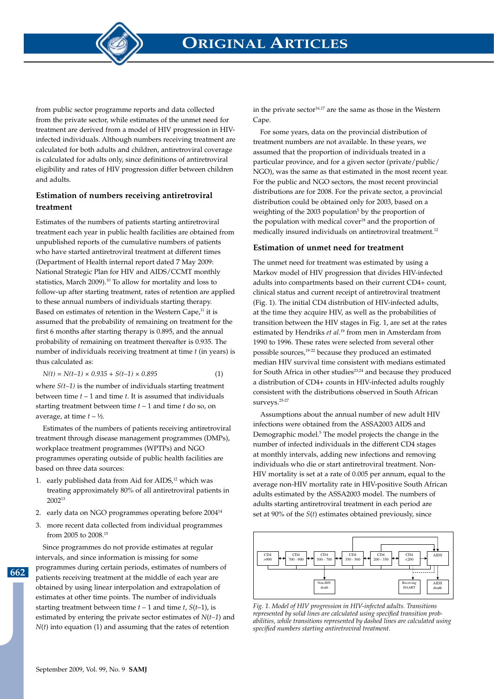**ORIGINAL ARTICLES**

from public sector programme reports and data collected from the private sector, while estimates of the unmet need for treatment are derived from a model of HIV progression in HIVinfected individuals. Although numbers receiving treatment are calculated for both adults and children, antiretroviral coverage is calculated for adults only, since definitions of antiretroviral eligibility and rates of HIV progression differ between children and adults.

# **Estimation of numbers receiving antiretroviral treatment**

Estimates of the numbers of patients starting antiretroviral treatment each year in public health facilities are obtained from unpublished reports of the cumulative numbers of patients who have started antiretroviral treatment at different times (Department of Health internal report dated 7 May 2009: National Strategic Plan for HIV and AIDS/CCMT monthly statistics, March 2009).10 To allow for mortality and loss to follow-up after starting treatment, rates of retention are applied to these annual numbers of individuals starting therapy. Based on estimates of retention in the Western Cape,<sup>11</sup> it is assumed that the probability of remaining on treatment for the first 6 months after starting therapy is 0.895, and the annual probability of remaining on treatment thereafter is 0.935. The number of individuals receiving treatment at time *t* (in years) is thus calculated as:

$$
N(t) = N(t-1) \times 0.935 + S(t-1) \times 0.895
$$
 (1)

where  $S(t-1)$  is the number of individuals starting treatment between time *t* – 1 and time *t*. It is assumed that individuals starting treatment between time *t* – 1 and time *t* do so, on average, at time  $t - \frac{1}{2}$ .

Estimates of the numbers of patients receiving antiretroviral treatment through disease management programmes (DMPs), workplace treatment programmes (WPTPs) and NGO programmes operating outside of public health facilities are based on three data sources:

- 1. early published data from Aid for AIDS,<sup>12</sup> which was treating approximately 80% of all antiretroviral patients in 200213
- 2. early data on NGO programmes operating before 200414
- 3. more recent data collected from individual programmes from 2005 to 2008.15

Since programmes do not provide estimates at regular

**662**

intervals, and since information is missing for some programmes during certain periods, estimates of numbers of patients receiving treatment at the middle of each year are obtained by using linear interpolation and extrapolation of estimates at other time points. The number of individuals starting treatment between time  $t - 1$  and time  $t$ ,  $S(t-1)$ , is estimated by entering the private sector estimates of *N*(*t–1*) and *N*(*t*) into equation (1) and assuming that the rates of retention

in the private sector $16,17$  are the same as those in the Western Cape.

For some years, data on the provincial distribution of treatment numbers are not available. In these years, we assumed that the proportion of individuals treated in a particular province, and for a given sector (private/public/ NGO), was the same as that estimated in the most recent year. For the public and NGO sectors, the most recent provincial distributions are for 2008. For the private sector, a provincial distribution could be obtained only for 2003, based on a weighting of the  $2003$  population<sup>5</sup> by the proportion of the population with medical cover<sup>18</sup> and the proportion of medically insured individuals on antiretroviral treatment.<sup>12</sup>

### **Estimation of unmet need for treatment**

The unmet need for treatment was estimated by using a Markov model of HIV progression that divides HIV-infected adults into compartments based on their current CD4+ count, clinical status and current receipt of antiretroviral treatment (Fig. 1). The initial CD4 distribution of HIV-infected adults, at the time they acquire HIV, as well as the probabilities of transition between the HIV stages in Fig. 1, are set at the rates estimated by Hendriks *et al*. 19 from men in Amsterdam from 1990 to 1996. These rates were selected from several other possible sources,19-22 because they produced an estimated median HIV survival time consistent with medians estimated for South Africa in other studies<sup>23,24</sup> and because they produced a distribution of CD4+ counts in HIV-infected adults roughly consistent with the distributions observed in South African surveys.25-27

Assumptions about the annual number of new adult HIV infections were obtained from the ASSA2003 AIDS and Demographic model.<sup>5</sup> The model projects the change in the number of infected individuals in the different CD4 stages at monthly intervals, adding new infections and removing individuals who die or start antiretroviral treatment. Non-HIV mortality is set at a rate of 0.005 per annum, equal to the average non-HIV mortality rate in HIV-positive South African adults estimated by the ASSA2003 model. The numbers of adults starting antiretroviral treatment in each period are set at 90% of the *S*(*t*) estimates obtained previously, since



rig. 1. *Noder by TITV progression in TITV*-injected datas. Transitions<br>represented by solid lines are calculated using specified transition probabilities, while transitions represented by dashed lines are calculated using *Fig. 1. Model of HIV progression in HIV-infected adults. Transitions specified numbers starting antiretroviral treatment.*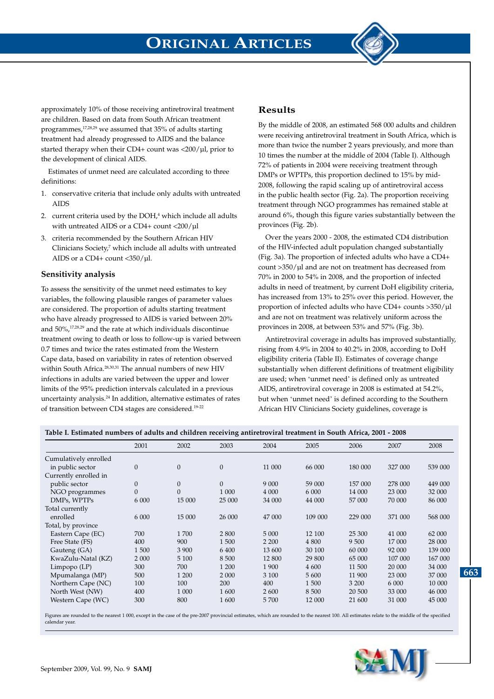

approximately 10% of those receiving antiretroviral treatment are children. Based on data from South African treatment programmes,17,28,29 we assumed that 35% of adults starting treatment had already progressed to AIDS and the balance started therapy when their CD4+ count was  $\langle 200/\mu \text{I} \rangle$ , prior to the development of clinical AIDS.

Estimates of unmet need are calculated according to three definitions:

- 1. conservative criteria that include only adults with untreated AIDS
- 2. current criteria used by the  $DOH<sub>l</sub><sup>4</sup>$  which include all adults with untreated AIDS or a CD4+ count <200/ul
- 3. criteria recommended by the Southern African HIV Clinicians Society,<sup>7</sup> which include all adults with untreated AIDS or a CD4+ count <350/µl.

### **Sensitivity analysis**

To assess the sensitivity of the unmet need estimates to key variables, the following plausible ranges of parameter values are considered. The proportion of adults starting treatment who have already progressed to AIDS is varied between 20% and 50%,17,28,29 and the rate at which individuals discontinue treatment owing to death or loss to follow-up is varied between 0.7 times and twice the rates estimated from the Western Cape data, based on variability in rates of retention observed within South Africa.<sup>28,30,31</sup> The annual numbers of new HIV infections in adults are varied between the upper and lower limits of the 95% prediction intervals calculated in a previous uncertainty analysis.24 In addition, alternative estimates of rates of transition between CD4 stages are considered.19-22

# **Results**

By the middle of 2008, an estimated 568 000 adults and children were receiving antiretroviral treatment in South Africa, which is more than twice the number 2 years previously, and more than 10 times the number at the middle of 2004 (Table I). Although 72% of patients in 2004 were receiving treatment through DMPs or WPTPs, this proportion declined to 15% by mid-2008, following the rapid scaling up of antiretroviral access in the public health sector (Fig. 2a). The proportion receiving treatment through NGO programmes has remained stable at around 6%, though this figure varies substantially between the provinces (Fig. 2b).

Over the years 2000 - 2008, the estimated CD4 distribution of the HIV-infected adult population changed substantially (Fig. 3a). The proportion of infected adults who have a CD4+ count >350/µl and are not on treatment has decreased from 70% in 2000 to 54% in 2008, and the proportion of infected adults in need of treatment, by current DoH eligibility criteria, has increased from 13% to 25% over this period. However, the proportion of infected adults who have CD4+ counts >350/µl and are not on treatment was relatively uniform across the provinces in 2008, at between 53% and 57% (Fig. 3b).

Antiretroviral coverage in adults has improved substantially, rising from 4.9% in 2004 to 40.2% in 2008, according to DoH eligibility criteria (Table II). Estimates of coverage change substantially when different definitions of treatment eligibility are used; when 'unmet need' is defined only as untreated AIDS, antiretroviral coverage in 2008 is estimated at 54.2%, but when 'unmet need' is defined according to the Southern African HIV Clinicians Society guidelines, coverage is

| $\sigma$              |                |                |              |         |         |         |         |         |  |
|-----------------------|----------------|----------------|--------------|---------|---------|---------|---------|---------|--|
|                       | 2001           | 2002           | 2003         | 2004    | 2005    | 2006    | 2007    | 2008    |  |
| Cumulatively enrolled |                |                |              |         |         |         |         |         |  |
| in public sector      | $\theta$       | $\theta$       | $\mathbf{0}$ | 11 000  | 66 000  | 180 000 | 327 000 | 539 000 |  |
| Currently enrolled in |                |                |              |         |         |         |         |         |  |
| public sector         | $\theta$       | $\mathbf{0}$   | $\mathbf{0}$ | 9 0 0 0 | 59 000  | 157 000 | 278 000 | 449 000 |  |
| NGO programmes        | $\overline{0}$ | $\overline{0}$ | 1 000        | 4 000   | 6 000   | 14 000  | 23 000  | 32 000  |  |
| DMPs, WPTPs           | 6 0 0 0        | 15 000         | 25 000       | 34 000  | 44 000  | 57 000  | 70 000  | 86 000  |  |
| Total currently       |                |                |              |         |         |         |         |         |  |
| enrolled              | 6 0 0 0        | 15 000         | 26 000       | 47 000  | 109 000 | 229 000 | 371 000 | 568 000 |  |
| Total, by province    |                |                |              |         |         |         |         |         |  |
| Eastern Cape (EC)     | 700            | 1700           | 2 800        | 5 0 0 0 | 12 100  | 25 300  | 41 000  | 62 000  |  |
| Free State (FS)       | 400            | 900            | 1 500        | 2 2 0 0 | 4 800   | 9 500   | 17 000  | 28 000  |  |
| Gauteng (GA)          | 1500           | 3 900          | 6 400        | 13 600  | 30 100  | 60 000  | 92 000  | 139 000 |  |
| KwaZulu-Natal (KZ)    | 2 0 0 0        | 5 100          | 8 500        | 12 800  | 29 800  | 65 000  | 107 000 | 167 000 |  |
| $Limpopo$ ( $LP$ )    | 300            | 700            | 1 200        | 1 900   | 4 600   | 11 500  | 20 000  | 34 000  |  |
| Mpumalanga (MP)       | 500            | 1 200          | 2 000        | 3 100   | 5 600   | 11 900  | 23 000  | 37 000  |  |
| Northern Cape (NC)    | 100            | 100            | 200          | 400     | 1 500   | 3 200   | 6 0 0 0 | 10 000  |  |
| North West (NW)       | 400            | 1 000          | 1600         | 2 600   | 8 500   | 20 500  | 33 000  | 46 000  |  |
| Western Cape (WC)     | 300            | 800            | 1 600        | 5 700   | 12 000  | 21 600  | 31 000  | 45 000  |  |

**Table I. Estimated numbers of adults and children receiving antiretroviral treatment in South Africa, 2001 - 2008**

Figures are rounded to the nearest 1 000, except in the case of the pre-2007 provincial estimates, which are rounded to the nearest 100. All estimates relate to the middle of the specified calendar year.

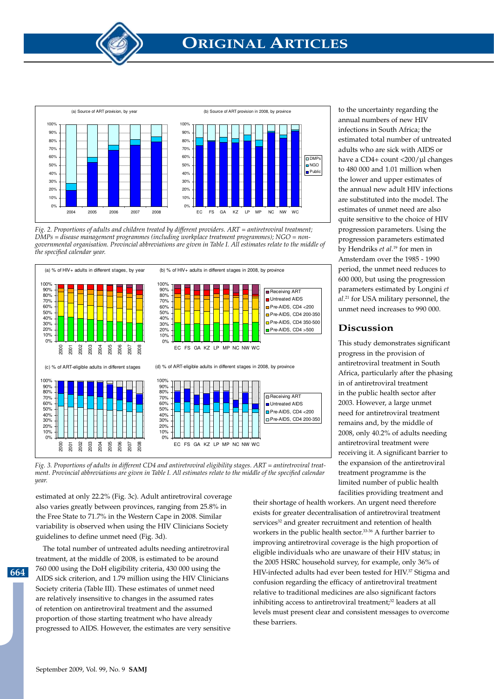

Figure 2: Proportions of adults and children treated by different providers *Fig. 2. Proportions of adults and children treated by different providers. ART = antiretroviral treatment;*  ART = antiretroviral treatment;. DMPs = disease management programmes (including workplace *DMPs = disease management programmes (including workplace treatment programmes); NGO = non*treatmental organization. Programmes (including weitermeental<br>rogrammental organization. Drogrincial abbreviations are oigen in Ta governmental organisation. Provincial abbreviations are given in Table I. All estimates relate to the middle of<br><sup>the snecified calendar year</sup> the specified calendar year.<br>.



ment. Provincial abbreviations are given in Table I. All estimates relate to the middle of the specified calendar ART = antiretroviral treatment. *year. Fig. 3. Proportions of adults in different CD4 and antiretroviral eligibility stages. ART = antiretroviral treat-*

estimated at only 22.2% (Fig. 3c). Adult antiretroviral coverage also varies greatly between provinces, ranging from 25.8% in the Free State to 71.7% in the Western Cape in 2008. Similar variability is observed when using the HIV Clinicians Society guidelines to define unmet need (Fig. 3d).

The total number of untreated adults needing antiretroviral treatment, at the middle of 2008, is estimated to be around 760 000 using the DoH eligibility criteria, 430 000 using the AIDS sick criterion, and 1.79 million using the HIV Clinicians Society criteria (Table III). These estimates of unmet need are relatively insensitive to changes in the assumed rates of retention on antiretroviral treatment and the assumed proportion of those starting treatment who have already progressed to AIDS. However, the estimates are very sensitive

to the uncertainty regarding the annual numbers of new HIV infections in South Africa; the estimated total number of untreated adults who are sick with AIDS or have a CD4+ count <200/µl changes to 480 000 and 1.01 million when the lower and upper estimates of the annual new adult HIV infections are substituted into the model. The estimates of unmet need are also quite sensitive to the choice of HIV progression parameters. Using the progression parameters estimated by Hendriks *et al*. 19 for men in Amsterdam over the 1985 - 1990 period, the unmet need reduces to 600 000, but using the progression parameters estimated by Longini *et al*. 21 for USA military personnel, the unmet need increases to 990 000.

# **Discussion**

This study demonstrates significant progress in the provision of antiretroviral treatment in South Africa, particularly after the phasing in of antiretroviral treatment in the public health sector after 2003. However, a large unmet need for antiretroviral treatment remains and, by the middle of 2008, only 40.2% of adults needing antiretroviral treatment were receiving it. A significant barrier to the expansion of the antiretroviral treatment programme is the limited number of public health facilities providing treatment and

their shortage of health workers. An urgent need therefore exists for greater decentralisation of antiretroviral treatment services<sup>32</sup> and greater recruitment and retention of health workers in the public health sector.<sup>33-36</sup> A further barrier to improving antiretroviral coverage is the high proportion of eligible individuals who are unaware of their HIV status; in the 2005 HSRC household survey, for example, only 36% of HIV-infected adults had ever been tested for HIV.<sup>37</sup> Stigma and confusion regarding the efficacy of antiretroviral treatment relative to traditional medicines are also significant factors inhibiting access to antiretroviral treatment;<sup>32</sup> leaders at all levels must present clear and consistent messages to overcome these barriers.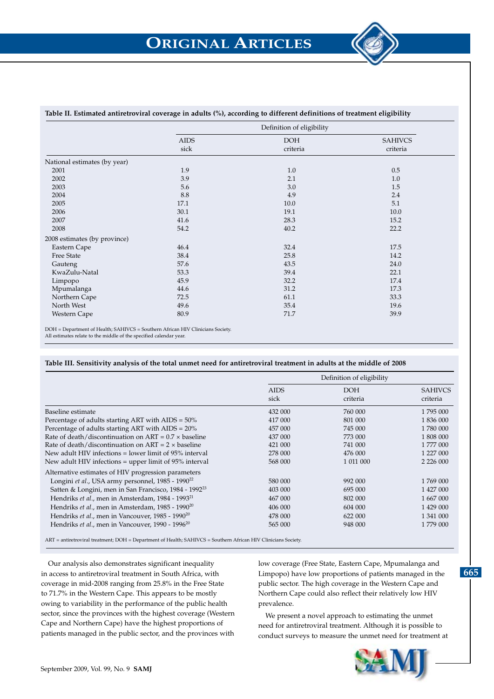

### **Table II. Estimated antiretroviral coverage in adults (%), according to different definitions of treatment eligibility**

|                              | Definition of eligibility |            |                |  |  |
|------------------------------|---------------------------|------------|----------------|--|--|
|                              | <b>AIDS</b>               | <b>DOH</b> | <b>SAHIVCS</b> |  |  |
|                              | sick                      | criteria   | criteria       |  |  |
| National estimates (by year) |                           |            |                |  |  |
| 2001                         | 1.9                       | 1.0        | 0.5            |  |  |
| 2002                         | 3.9                       | 2.1        | 1.0            |  |  |
| 2003                         | 5.6                       | 3.0        | 1.5            |  |  |
| 2004                         | 8.8                       | 4.9        | 2.4            |  |  |
| 2005                         | 17.1                      | 10.0       | 5.1            |  |  |
| 2006                         | 30.1                      | 19.1       | 10.0           |  |  |
| 2007                         | 41.6                      | 28.3       | 15.2           |  |  |
| 2008                         | 54.2                      | 40.2       | 22.2           |  |  |
| 2008 estimates (by province) |                           |            |                |  |  |
| Eastern Cape                 | 46.4                      | 32.4       | 17.5           |  |  |
| Free State                   | 38.4                      | 25.8       | 14.2           |  |  |
| Gauteng                      | 57.6                      | 43.5       | 24.0           |  |  |
| KwaZulu-Natal                | 53.3                      | 39.4       | 22.1           |  |  |
| Limpopo                      | 45.9                      | 32.2       | 17.4           |  |  |
| Mpumalanga                   | 44.6                      | 31.2       | 17.3           |  |  |
| Northern Cape                | 72.5                      | 61.1       | 33.3           |  |  |
| North West                   | 49.6                      | 35.4       | 19.6           |  |  |
| Western Cape                 | 80.9                      | 71.7       | 39.9           |  |  |

DOH = Department of Health; SAHIVCS = Southern African HIV Clinicians Society.

All estimates relate to the middle of the specified calendar year.

#### **Table III. Sensitivity analysis of the total unmet need for antiretroviral treatment in adults at the middle of 2008**

|                                                                   | Definition of eligibility |                        |                            |  |
|-------------------------------------------------------------------|---------------------------|------------------------|----------------------------|--|
|                                                                   | <b>AIDS</b><br>sick       | <b>DOH</b><br>criteria | <b>SAHIVCS</b><br>criteria |  |
| Baseline estimate                                                 | 432 000                   | 760 000                | 1795 000                   |  |
| Percentage of adults starting ART with $AIDS = 50\%$              | 417 000                   | 801 000                | 1 836 000                  |  |
| Percentage of adults starting ART with $AIDS = 20\%$              | 457 000                   | 745 000                | 1780 000                   |  |
| Rate of death/discontinuation on $ART = 0.7 \times baseline$      | 437 000                   | 773 000                | 1 808 000                  |  |
| Rate of death/discontinuation on $ART = 2 \times baseline$        | 421 000                   | 741 000                | 1 777 000                  |  |
| New adult HIV infections = lower limit of $95\%$ interval         | 278 000                   | 476 000                | 1 227 000                  |  |
| New adult HIV infections $=$ upper limit of 95% interval          | 568 000                   | 1 011 000              |                            |  |
| Alternative estimates of HIV progression parameters               |                           |                        |                            |  |
| Longini et al., USA army personnel, 1985 - 1990 <sup>22</sup>     | 580 000                   | 992 000                | 1769 000                   |  |
| Satten & Longini, men in San Francisco, 1984 - 1992 <sup>23</sup> | 403 000                   | 695 000                | 1 427 000                  |  |
| Hendriks et al., men in Amsterdam, 1984 - 1993 <sup>21</sup>      | 467 000                   | 802 000                | 1 667 000                  |  |
| Hendriks et al., men in Amsterdam, 1985 - 1990 <sup>20</sup>      | 406 000                   | 604 000                | 1 429 000                  |  |
| Hendriks et al., men in Vancouver, 1985 - 1990 <sup>20</sup>      | 478 000                   | 622 000                | 1 341 000                  |  |
| Hendriks et al., men in Vancouver, 1990 - 1996 <sup>20</sup>      | 565 000                   | 948 000                | 1 779 000                  |  |

ART = antiretroviral treatment; DOH = Department of Health; SAHIVCS = Southern African HIV Clinicians Society.

Our analysis also demonstrates significant inequality in access to antiretroviral treatment in South Africa, with coverage in mid-2008 ranging from 25.8% in the Free State to 71.7% in the Western Cape. This appears to be mostly owing to variability in the performance of the public health sector, since the provinces with the highest coverage (Western Cape and Northern Cape) have the highest proportions of patients managed in the public sector, and the provinces with

low coverage (Free State, Eastern Cape, Mpumalanga and Limpopo) have low proportions of patients managed in the public sector. The high coverage in the Western Cape and Northern Cape could also reflect their relatively low HIV prevalence.

We present a novel approach to estimating the unmet need for antiretroviral treatment. Although it is possible to conduct surveys to measure the unmet need for treatment at

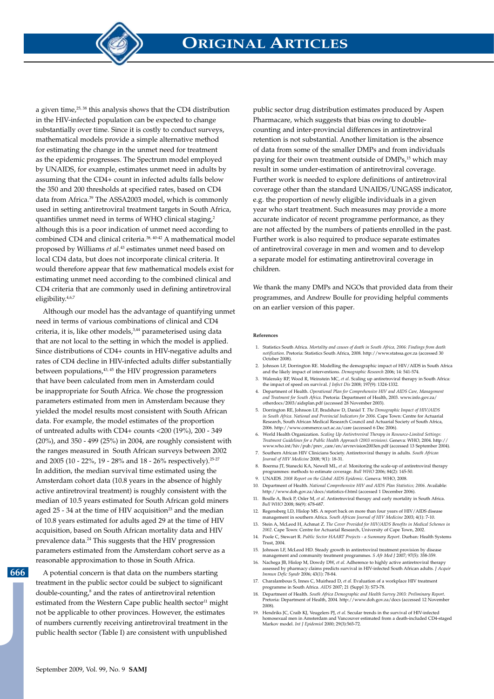

a given time,25, 38 this analysis shows that the CD4 distribution in the HIV-infected population can be expected to change substantially over time. Since it is costly to conduct surveys, mathematical models provide a simple alternative method for estimating the change in the unmet need for treatment as the epidemic progresses. The Spectrum model employed by UNAIDS, for example, estimates unmet need in adults by assuming that the CD4+ count in infected adults falls below the 350 and 200 thresholds at specified rates, based on CD4 data from Africa.<sup>39</sup> The ASSA2003 model, which is commonly used in setting antiretroviral treatment targets in South Africa, quantifies unmet need in terms of WHO clinical staging,<sup>2</sup> although this is a poor indication of unmet need according to combined CD4 and clinical criteria.<sup>38, 40-42</sup> A mathematical model proposed by Williams *et al*. 43 estimates unmet need based on local CD4 data, but does not incorporate clinical criteria. It would therefore appear that few mathematical models exist for estimating unmet need according to the combined clinical and CD4 criteria that are commonly used in defining antiretroviral eligibility.4,6,7

Although our model has the advantage of quantifying unmet need in terms of various combinations of clinical and CD4 criteria, it is, like other models,<sup>3,44</sup> parameterised using data that are not local to the setting in which the model is applied. Since distributions of CD4+ counts in HIV-negative adults and rates of CD4 decline in HIV-infected adults differ substantially between populations, $43, 45$  the HIV progression parameters that have been calculated from men in Amsterdam could be inappropriate for South Africa. We chose the progression parameters estimated from men in Amsterdam because they yielded the model results most consistent with South African data. For example, the model estimates of the proportion of untreated adults with CD4+ counts <200 (19%), 200 - 349 (20%), and 350 - 499 (25%) in 2004, are roughly consistent with the ranges measured in South African surveys between 2002 and 2005 (10 - 22%, 19 - 28% and 18 - 26% respectively).25-27 In addition, the median survival time estimated using the Amsterdam cohort data (10.8 years in the absence of highly active antiretroviral treatment) is roughly consistent with the median of 10.5 years estimated for South African gold miners aged  $25 - 34$  at the time of HIV acquisition<sup>23</sup> and the median of 10.8 years estimated for adults aged 29 at the time of HIV acquisition, based on South African mortality data and HIV prevalence data.24 This suggests that the HIV progression parameters estimated from the Amsterdam cohort serve as a reasonable approximation to those in South Africa.

**666**

A potential concern is that data on the numbers starting treatment in the public sector could be subject to significant double-counting,<sup>8</sup> and the rates of antiretroviral retention estimated from the Western Cape public health sector<sup>11</sup> might not be applicable to other provinces. However, the estimates of numbers currently receiving antiretroviral treatment in the public health sector (Table I) are consistent with unpublished

public sector drug distribution estimates produced by Aspen Pharmacare, which suggests that bias owing to doublecounting and inter-provincial differences in antiretroviral retention is not substantial. Another limitation is the absence of data from some of the smaller DMPs and from individuals paying for their own treatment outside of DMPs,<sup>15</sup> which may result in some under-estimation of antiretroviral coverage. Further work is needed to explore definitions of antiretroviral coverage other than the standard UNAIDS/UNGASS indicator, e.g. the proportion of newly eligible individuals in a given year who start treatment. Such measures may provide a more accurate indicator of recent programme performance, as they are not affected by the numbers of patients enrolled in the past. Further work is also required to produce separate estimates of antiretroviral coverage in men and women and to develop a separate model for estimating antiretroviral coverage in children.

We thank the many DMPs and NGOs that provided data from their programmes, and Andrew Boulle for providing helpful comments on an earlier version of this paper.

#### **References**

- 1. Statistics South Africa. *Mortality and causes of death in South Africa, 2006: Findings from death*  notification. Pretoria: Statistics South Africa, 2008. http://www.statssa.gov.za (a October 2008).
- 2. Johnson LF, Dorrington RE. Modelling the demographic impact of HIV/AIDS in South Africa and the likely impact of interventions. *Demographic Research* 2006; 14: 541-574.
- 3. Walensky RP, Wood R, Weinstein MC, *et al*. Scaling up antiretroviral therapy in South Africa: the impact of speed on survival. *J Infect Dis* 2008; 197(9): 1324-1332.
- 4. Department of Health. *Operational Plan for Comprehensive HIV and AIDS Care, Management and Treatment for South Africa*. Pretoria: Department of Health, 2003. www.info.gov.za/ otherdocs/2003/aidsplan.pdf (accessed 28 November 2003).
- 5. Dorrington RE, Johnson LF, Bradshaw D, Daniel T. *The Demographic Impact of HIV/AIDS in South Africa. National and Provincial Indicators for 2006*. Cape Town: Centre for Actuarial Research, South African Medical Research Council and Actuarial Society of South Africa, 2006. http://www.commerce.uct.ac.za/care (accessed 6 Dec 2006).
- 6. World Health Organization. *Scaling Up Antiretroviral Therapy in Resource-Limited Settings: Treatment Guidelines for a Public Health Approach (2003 revision)*. Geneva: WHO, 2004. http:// www.who.int/hiv/pub/prev\_care/en/arvrevision2003en.pdf (accessed 13 September 2004).
- 7. Southern African HIV Clinicians Society. Antiretroviral therapy in adults. *South African Journal of HIV Medicine* 2008; 9(1): 18-31.
- 8. Boerma JT, Stanecki KA, Newell ML, *et al.* Monitoring the scale-up of antiretroviral therapy programmes: methods to estimate coverage. *Bull WHO* 2006; 84(2): 145-50. 9. UNAIDS. *2008 Report on the Global AIDS Epidemic*. Geneva: WHO, 2008.
- 10. Department of Health. *National Comprehensive HIV and AIDS Plan Statistics; 2006*. Available: http://www.doh.gov.za/docs/statistics-f.html (accessed 1 December 2006).
- 11. Boulle A, Bock P, Osler M, *et al*. Antiretroviral therapy and early mortality in South Africa. *Bull WHO* 2008; 86(9): 678-687.
- 12. Regensberg LD, Hislop MS. A report back on more than four years of HIV/AIDS disease management in southern Africa. *South African Journal of HIV Medicine* 2003; 4(1): 7-10.
- 13. Stein A, McLeod H, Achmat Z. *The Cover Provided for HIV/AIDS Benefits in Medical Schemes in 2002*. Cape Town: Centre for Actuarial Research, University of Cape Town, 2002.
- 14. Poole C, Stewart R. *Public Sector HAART Projects a Summary Report*. Durban: Health Systems Trust, 2004.
- 15. Johnson LF, McLeod HD. Steady growth in antiretroviral treatment provision by disease management and community treatment programmes. *S Afr Med J* 2007; 97(5): 358-359. 16. Nachega JB, Hislop M, Dowdy DW, *et al*. Adherence to highly active antiretroviral therapy
- assessed by pharmacy claims predicts survival in HIV-infected South African adults. *J Acquir Immun Defic Syndr* 2006; 43(1): 78-84.
- 17. Charalambous S, Innes C, Muirhead D, *et al*. Evaluation of a workplace HIV treatment programme in South Africa. *AIDS* 2007; 21 (Suppl 3): S73-78.
- Department of Health. *South Africa Demographic and Health Survey 2003: Prelimin* Pretoria: Department of Health, 2004. http://www.doh.gov.za/docs (accessed 12 November 2008).
- 19. Hendriks JC, Craib KJ, Veugelers PJ, et al. Secular trends in the survival of HIV-infected homosexual men in Amsterdam and Vancouver estimated from a death-included CD4-staged Markov model. *Int J Epidemiol* 2000; 29(3):565-72.